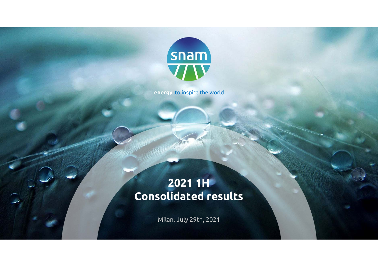

**energy** to inspire the world

# **2021 1H Consolidated results**

Milan, July 29th, 2021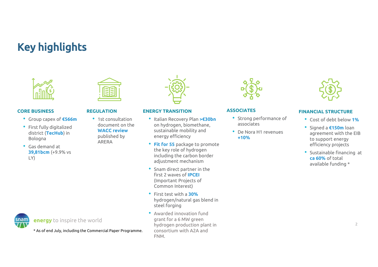# Key highlights



#### **CORE BUSINESS**

- Group capex of **€566m**
- First fully digitalized district (**TecHub**) in Bologna
- Gas demand at **39,81bcm** (+9.9% vs LY)



#### **REGULATION**

• 1st consultation document on the **WACC review** published by ARERA



#### **ENERGY TRANSITION**

- Italian Recovery Plan **>€30bn**  on hydrogen, biomethane, sustainable mobility and energy efficiency
- **Fit for 55** package to promote the key role of hydrogen including the carbon border adjustment mechanism
- Snam direct partner in the first 2 waves of **IPCEI**  (Important Projects of Common Interest)
- First test with a **30%**hydrogen/natural gas blend in steel forging
- Awarded innovation fund grant for a 6 MW green hydrogen production plant in consortium with A2A and FNM.



#### **ASSOCIATES**

- Strong performance of associates
- De Nora H1 revenues **+10%**



#### **FINANCIAL STRUCTURE**

- Cost of debt below **1%**
- Signed a **€150m** loan agreement with the EIB to support energy efficiency projects
- Sustainable financing at **ca 60%** of total available funding \*



**energy** to inspire the world

\* As of end July, including the Commercial Paper Programme.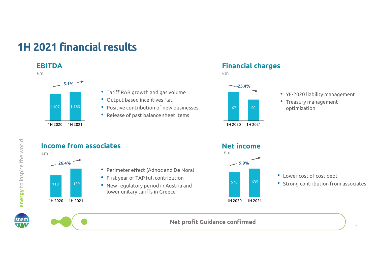# 1H 2021 financial results

#### **EBITDA**

#### €m



1H 2020 1H 2021



- Positive contribution of new businesses
- Release of past balance sheet items

#### **Financial charges**

€m



• YE-2020 liability management

• Treasury management optimization



snam

**energy** to inspire the world

energy to inspire the world



3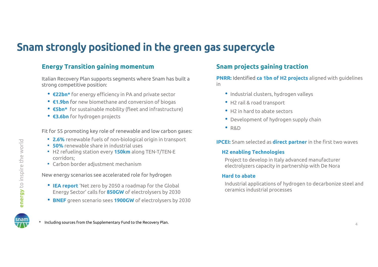# Snam strongly positioned in the green gas supercycle

#### **Energy Transition gaining momentum Snam projects gaining traction**

Italian Recovery Plan supports segments where Snam has built a strong competitive position:

- **€22bn\*** for energy efficiency in PA and private sector
- **€1.9bn** for new biomethane and conversion of biogas
- **€5bn\*** for sustainable mobility (fleet and infrastructure)
- **€3.6bn** for hydrogen projects

Fit for 55 promoting key role of renewable and low carbon gases:

- **2.6%** renewable fuels of non-biological origin in transport
- **50%** renewable share in industrial uses
- H2 refueling station every **150km** along TEN-T/TEN-E corridors;
- Carbon border adjustment mechanism

New energy scenarios see accelerated role for hydrogen

- **IEA report** 'Net zero by 2050 a roadmap for the Global Energy Sector' calls for **850GW** of electrolysers by 2030
- **BNEF** green scenario sees **1900GW** of electrolysers by 2030

**PNRR:** Identified **ca 1bn of H2 projects** aligned with guidelines in

- Industrial clusters, hydrogen valleys
- H2 rail & road transport
- H2 in hard to abate sectors
- Development of hydrogen supply chain
- R&D

**IPCEI:** Snam selected as **direct partner** in the first two waves

#### **H2 enabling Technologies**

Project to develop in Italy advanced manufacturer electrolyzers capacity in partnership with De Nora

#### **Hard to abate**

Industrial applications of hydrogen to decarbonize steel and ceramics industrial processes

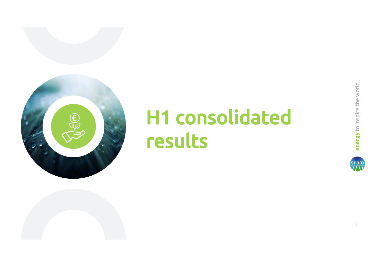

# **ENERGY TO ENERGY THE CONSOLIDATED**

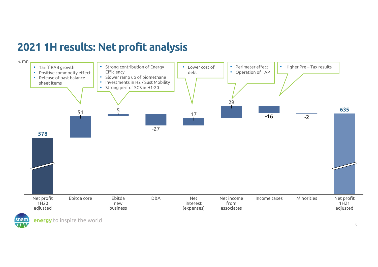# 2021 1H results: Net profit analysis

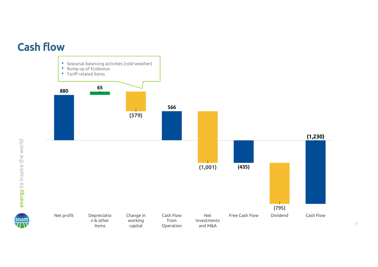



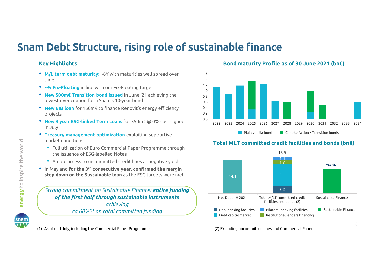# Snam Debt Structure, rising role of sustainable finance

1,6

#### **Key Highlights**

- **M/L term debt maturity**: ~6Y with maturities well spread over time
- **~¾ Fix-Floating** in line with our Fix-Floating target
- **New 500m€ Transition bond issued** in June '21 achieving the lowest ever coupon for a Snam's 10-year bond
- **New EIB loan** for 150m€ to finance Renovit's energy efficiency projects
- **New 3 year ESG-linked Term Loans** for 350m€ @ 0% cost signed in July
- **Treasury management optimization** exploiting supportive market conditions:
	- Full utilization of Euro Commercial Paper Programme through the issuance of ESG-labelled Notes
	- Ample access to uncommitted credit lines at negative yields
- In May and **for the 3rd consecutive year, confirmed the margin step down on the Sustainable loan** as the ESG targets were met **14.1**

*Strong commitment on Sustainable Finance: entire funding of the first half through sustainable instruments achieving*

(1) As of end July, including the Commercial Paper Programme



**Bond maturity Profile as of 30 June 2021 (bn€)** 

#### 0,0 0,2 0,4 0,6 0,8 1,0 1,2 1,4 2022 2023 2024 2025 2026 2027 2028 2029 2030 2031 2032 2033 2034**Plain vanilla bond Climate Action / Transition bonds**

#### **Total MLT committed credit facilities and bonds (bn€)**



(2) Excluding uncommitted lines and Commercial Paper.

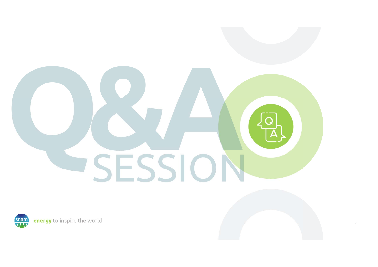# SESSION

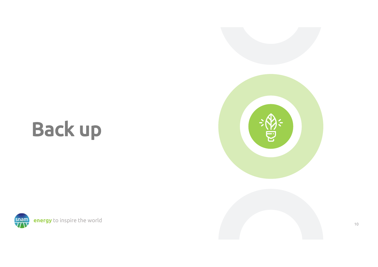# Back up



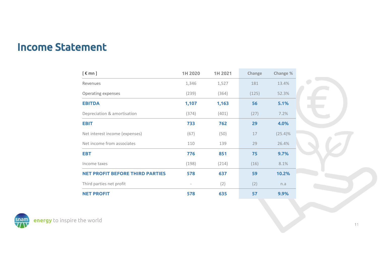# Income Statement

| $[$ $\epsilon$ mn $]$                  | 1H 2020 | 1H 2021 | Change | Change %   |
|----------------------------------------|---------|---------|--------|------------|
| Revenues                               | 1,346   | 1,527   | 181    | 13.4%      |
| Operating expenses                     | (239)   | (364)   | (125)  | 52.3%      |
| <b>EBITDA</b>                          | 1,107   | 1,163   | 56     | 5.1%       |
| Depreciation & amortisation            | (374)   | (401)   | (27)   | 7.2%       |
| <b>EBIT</b>                            | 733     | 762     | 29     | 4.0%       |
| Net interest income (expenses)         | (67)    | (50)    | 17     | $(25.4)\%$ |
| Net income from associates             | 110     | 139     | 29     | 26.4%      |
| <b>EBT</b>                             | 776     | 851     | 75     | 9.7%       |
| Income taxes                           | (198)   | (214)   | (16)   | 8.1%       |
| <b>NET PROFIT BEFORE THIRD PARTIES</b> | 578     | 637     | 59     | 10.2%      |
| Third parties net profit               |         | (2)     | (2)    | n.a        |
| <b>NET PROFIT</b>                      | 578     | 635     | 57     | 9.9%       |

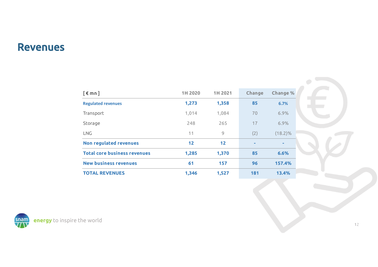### Revenues

| $\lceil \epsilon \mod 1 \rceil$     | 1H 2020 | 1H 2021 | Change | <b>Change %</b> |
|-------------------------------------|---------|---------|--------|-----------------|
| <b>Regulated revenues</b>           | 1,273   | 1,358   | 85     | 6.7%            |
| Transport                           | 1,014   | 1,084   | 70     | 6.9%            |
| Storage                             | 248     | 265     | 17     | 6.9%            |
| <b>LNG</b>                          | 11      | 9       | (2)    | $(18.2)\%$      |
| Non regulated revenues              | 12      | 12      | ۰      | ۰               |
| <b>Total core business revenues</b> | 1,285   | 1,370   | 85     | 6.6%            |
| <b>New business revenues</b>        | 61      | 157     | 96     | 157.4%          |
| <b>TOTAL REVENUES</b>               | 1,346   | 1,527   | 181    | 13.4%           |

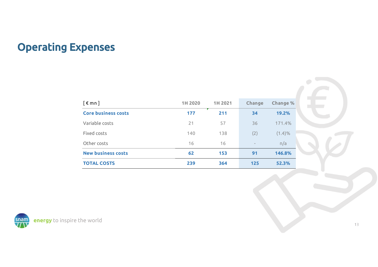# Operating Expenses

| $[$ $\notin$ mn $]$        | 1H 2020 | 1H 2021 | Change                   | Change % |
|----------------------------|---------|---------|--------------------------|----------|
| <b>Core business costs</b> | 177     | 211     | 34                       | 19.2%    |
| Variable costs             | 21      | 57      | 36                       | 171.4%   |
| Fixed costs                | 140     | 138     | (2)                      | (1.4)%   |
| Other costs                | 16      | 16      | $\overline{\phantom{m}}$ | n/a      |
| <b>New business costs</b>  | 62      | 153     | 91                       | 146.8%   |
| <b>TOTAL COSTS</b>         | 239     | 364     | 125                      | 52.3%    |

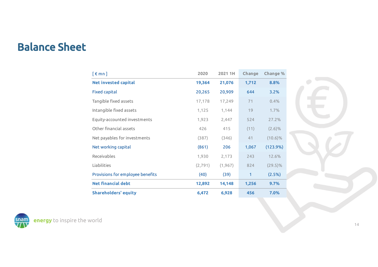# Balance Sheet

| $[$ $\notin$ mn $]$              | 2020     | 2021 1H  | Change       | Change %   |
|----------------------------------|----------|----------|--------------|------------|
| <b>Net invested capital</b>      | 19,364   | 21,076   | 1,712        | 8.8%       |
| <b>Fixed capital</b>             | 20,265   | 20,909   | 644          | 3.2%       |
| Tangible fixed assets            | 17,178   | 17,249   | 71           | 0.4%       |
| Intangible fixed assets          | 1,125    | 1,144    | 19           | 1.7%       |
| Equity-accounted investments     | 1,923    | 2,447    | 524          | 27.2%      |
| Other financial assets           | 426      | 415      | (11)         | $(2.6)\%$  |
| Net payables for investments     | (387)    | (346)    | 41           | $(10.6)\%$ |
| Net working capital              | (861)    | 206      | 1,067        | (123.9%)   |
| Receivables                      | 1,930    | 2,173    | 243          | 12.6%      |
| Liabilities                      | (2, 791) | (1, 967) | 824          | $(29.5)\%$ |
| Provisions for employee benefits | (40)     | (39)     | $\mathbf{1}$ | (2.5%)     |
| <b>Net financial debt</b>        | 12,892   | 14,148   | 1,256        | 9.7%       |
| <b>Shareholders' equity</b>      | 6,472    | 6,928    | 456          | 7.0%       |

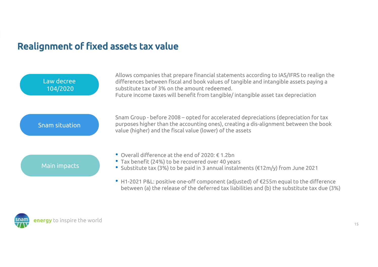# Realignment of fixed assets tax value



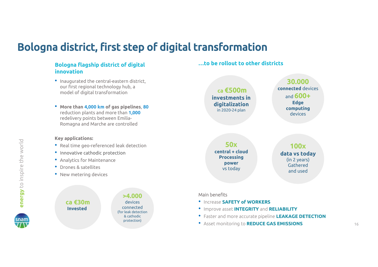# Bologna district, first step of digital transformation

#### **Bologna flagship district of digital innovation**

- Inaugurated the central-eastern district, our first regional technology hub, a model of digital transformation
- **More than 4,000 km of gas pipelines**, **80**  reduction plants and more than **1,000**  redelivery points between Emilia-Romagna and Marche are controlled

#### **Key applications:**

- Real time geo-referenced leak detection
- Innovative cathodic protection
- Analytics for Maintenance
- Drones & satellites
- New metering devices



**…to be rollout to other districts**

**ca €500m investments in digitalization**  in 2020-24 plan

**30.000connected** devicesand **600+Edge computing** devices

**50xcentral + cloudProcessing power**  vs today

#### **100x data vs today** (in 2 years) Gatheredand used

#### Main benefits

- Increase **SAFETY of WORKERS**
- Improve asset **INTEGRITY** and **RELIABILITY**
- Faster and more accurate pipeline **LEAKAGE DETECTION**
- Asset monitoring to **REDUCE GAS EMISSIONS**

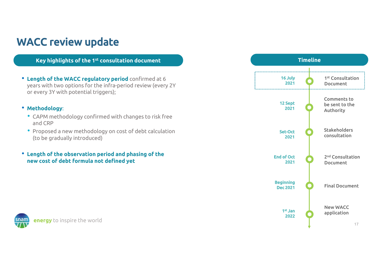# WACC review update

**Key highlights of the 1st consultation document**

• **Length of the WACC regulatory period** confirmed at 6 years with two options for the infra-period review (every 2Y or every 3Y with potential triggers);

#### • **Methodology**:

- CAPM methodology confirmed with changes to risk free and CRP
- Proposed a new methodology on cost of debt calculation (to be gradually introduced)
- **Length of the observation period and phasing of the new cost of debt formula not defined yet**